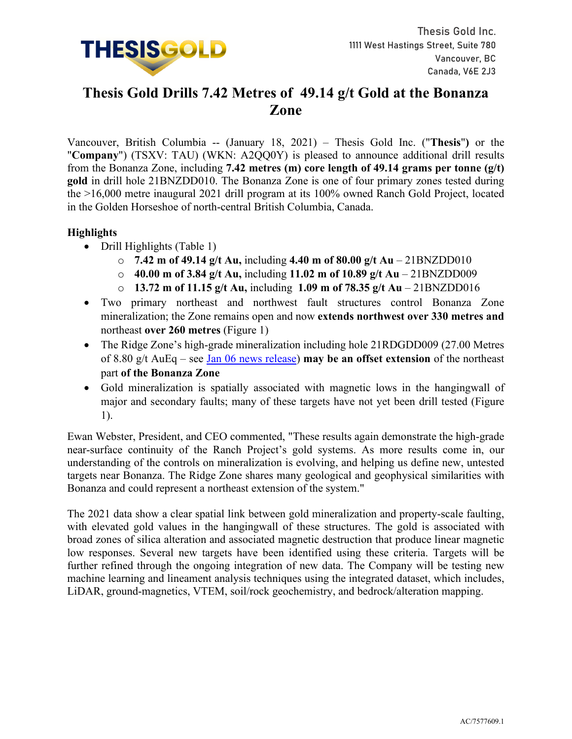

# **Thesis Gold Drills 7.42 Metres of 49.14 g/t Gold at the Bonanza Zone**

Vancouver, British Columbia -- (January 18, 2021) – Thesis Gold Inc. ("**Thesis**"**)** or the "**Company**") (TSXV: TAU) (WKN: A2QQ0Y) is pleased to announce additional drill results from the Bonanza Zone, including **7.42 metres (m) core length of 49.14 grams per tonne (g/t) gold** in drill hole 21BNZDD010. The Bonanza Zone is one of four primary zones tested during the >16,000 metre inaugural 2021 drill program at its 100% owned Ranch Gold Project, located in the Golden Horseshoe of north-central British Columbia, Canada.

# **Highlights**

- Drill Highlights (Table 1)
	- o **7.42 m of 49.14 g/t Au,** including **4.40 m of 80.00 g/t Au** 21BNZDD010
	- o **40.00 m of 3.84 g/t Au,** including **11.02 m of 10.89 g/t Au** 21BNZDD009
	- o **13.72 m of 11.15 g/t Au,** including **1.09 m of 78.35 g/t Au** 21BNZDD016
- Two primary northeast and northwest fault structures control Bonanza Zone mineralization; the Zone remains open and now **extends northwest over 330 metres and**  northeast **over 260 metres** (Figure 1)
- The Ridge Zone's high-grade mineralization including hole 21RDGDD009 (27.00 Metres of 8.80 g/t AuEq – see [Jan 06 news release\)](https://www.thesisgold.com/_resources/news/nr-20220106.pdf) **may be an offset extension** of the northeast part **of the Bonanza Zone**
- Gold mineralization is spatially associated with magnetic lows in the hangingwall of major and secondary faults; many of these targets have not yet been drill tested (Figure 1).

Ewan Webster, President, and CEO commented, "These results again demonstrate the high-grade near-surface continuity of the Ranch Project's gold systems. As more results come in, our understanding of the controls on mineralization is evolving, and helping us define new, untested targets near Bonanza. The Ridge Zone shares many geological and geophysical similarities with Bonanza and could represent a northeast extension of the system."

The 2021 data show a clear spatial link between gold mineralization and property-scale faulting, with elevated gold values in the hangingwall of these structures. The gold is associated with broad zones of silica alteration and associated magnetic destruction that produce linear magnetic low responses. Several new targets have been identified using these criteria. Targets will be further refined through the ongoing integration of new data. The Company will be testing new machine learning and lineament analysis techniques using the integrated dataset, which includes, LiDAR, ground-magnetics, VTEM, soil/rock geochemistry, and bedrock/alteration mapping.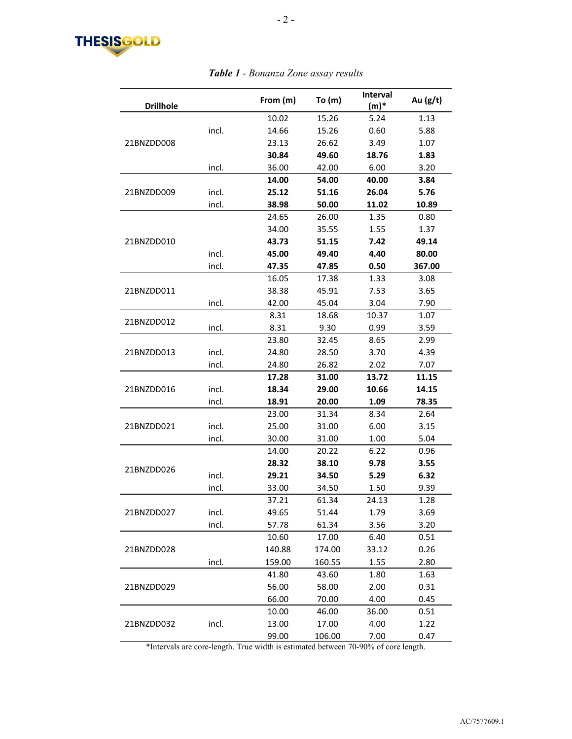

#### **Drillhole From (m) To (m) Interval (m)\* Au (g/t)** 21BNZDD008 10.02 15.26 5.24 1.13 incl. 14.66 15.26 0.60 5.88 23.13 26.62 3.49 1.07 **30.84 49.60 18.76 1.83** incl. 36.00 42.00 6.00 3.20 21BNZDD009 **14.00 54.00 40.00 3.84** incl. **25.12 51.16 26.04 5.76** incl. **38.98 50.00 11.02 10.89** 21BNZDD010 24.65 26.00 1.35 0.80 34.00 35.55 1.55 1.37 **43.73 51.15 7.42 49.14** incl. **45.00 49.40 4.40 80.00** incl. **47.35 47.85 0.50 367.00** 21BNZDD011 16.05 17.38 1.33 3.08 38.38 45.91 7.53 3.65 incl. 42.00 45.04 3.04 7.90 21BNZDD012 8.31 18.68 10.37 1.07 incl. 8.31 9.30 0.99 3.59 21BNZDD013 23.80 32.45 8.65 2.99 incl. 24.80 28.50 3.70 4.39 incl. 24.80 26.82 2.02 7.07 21BNZDD016 **17.28 31.00 13.72 11.15** incl. **18.34 29.00 10.66 14.15** incl. **18.91 20.00 1.09 78.35** 21BNZDD021 23.00 31.34 8.34 2.64 incl. 25.00 31.00 6.00 3.15 incl. 30.00 31.00 1.00 5.04 21BNZDD026 14.00 20.22 6.22 0.96 **28.32 38.10 9.78 3.55** incl. **29.21 34.50 5.29 6.32** incl. 33.00 34.50 1.50 9.39 21BNZDD027 37.21 61.34 24.13 1.28 incl. 49.65 51.44 1.79 3.69 incl. 57.78 61.34 3.56 3.20 21BNZDD028 10.60 17.00 6.40 0.51 140.88 174.00 33.12 0.26 incl. 159.00 160.55 1.55 2.80 21BNZDD029 41.80 43.60 1.80 1.63 56.00 58.00 2.00 0.31 66.00 70.00 4.00 0.45 21BNZDD032 10.00 46.00 36.00 0.51 incl. 13.00 17.00 4.00 1.22 99.00 106.00 7.00 0.47

#### *Table 1 - Bonanza Zone assay results*

\*Intervals are core-length. True width is estimated between 70-90% of core length.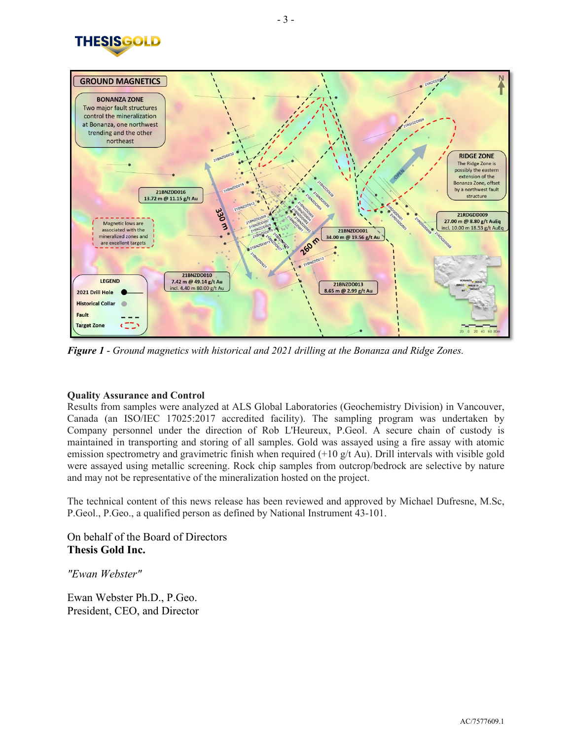



*Figure 1* - *Ground magnetics with historical and 2021 drilling at the Bonanza and Ridge Zones.*

# **Quality Assurance and Control**

Results from samples were analyzed at ALS Global Laboratories (Geochemistry Division) in Vancouver, Canada (an ISO/IEC 17025:2017 accredited facility). The sampling program was undertaken by Company personnel under the direction of Rob L'Heureux, P.Geol. A secure chain of custody is maintained in transporting and storing of all samples. Gold was assayed using a fire assay with atomic emission spectrometry and gravimetric finish when required  $(+10 \text{ g/t} \text{Au})$ . Drill intervals with visible gold were assayed using metallic screening. Rock chip samples from outcrop/bedrock are selective by nature and may not be representative of the mineralization hosted on the project.

The technical content of this news release has been reviewed and approved by Michael Dufresne, M.Sc, P.Geol., P.Geo., a qualified person as defined by National Instrument 43-101.

On behalf of the Board of Directors **Thesis Gold Inc.**

*"Ewan Webster"*

Ewan Webster Ph.D., P.Geo. President, CEO, and Director